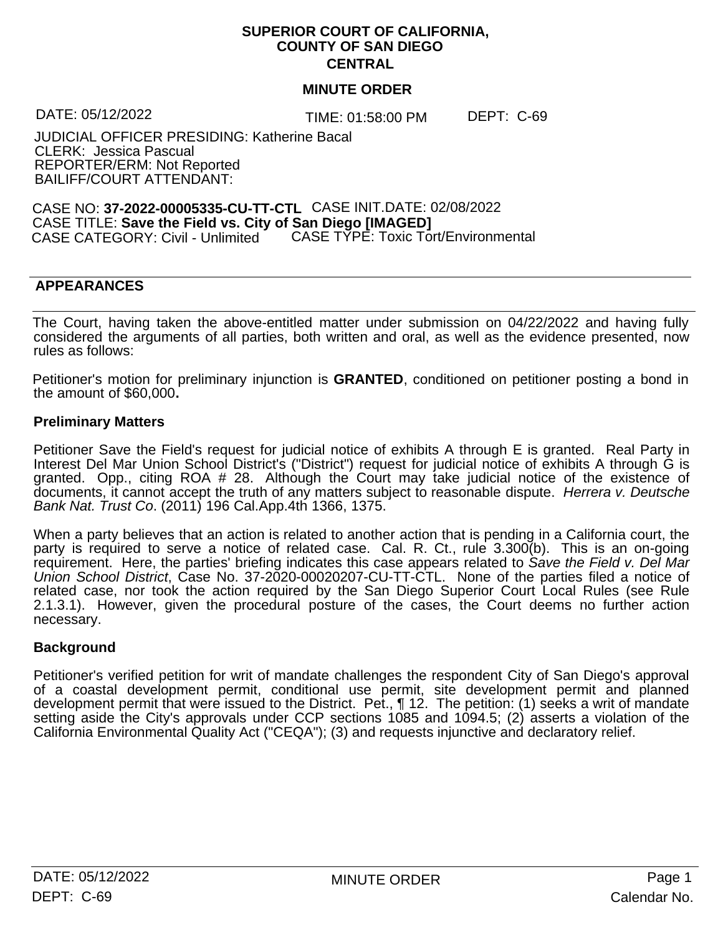### **SUPERIOR COURT OF CALIFORNIA, COUNTY OF SAN DIEGO CENTRAL**

#### **MINUTE ORDER**

DATE: 05/12/2022 TIME: 01:58:00 PM DEPT: C-69

JUDICIAL OFFICER PRESIDING: Katherine Bacal CLERK: Jessica Pascual REPORTER/ERM: Not Reported BAILIFF/COURT ATTENDANT:

CASE NO: **37-2022-00005335-CU-TT-CTL** CASE INIT.DATE: 02/08/2022 CASE TITLE: **Save the Field vs. City of San Diego [IMAGED]** CASE CATEGORY: Civil - Unlimited CASE TYPE: Toxic Tort/Environmental

## **APPEARANCES**

The Court, having taken the above-entitled matter under submission on 04/22/2022 and having fully considered the arguments of all parties, both written and oral, as well as the evidence presented, now rules as follows:

Petitioner's motion for preliminary injunction is **GRANTED**, conditioned on petitioner posting a bond in the amount of \$60,000**.**

#### **Preliminary Matters**

Petitioner Save the Field's request for judicial notice of exhibits A through E is granted. Real Party in Interest Del Mar Union School District's ("District") request for judicial notice of exhibits A through G is granted. Opp., citing ROA # 28. Although the Court may take judicial notice of the existence of documents, it cannot accept the truth ofany matters subject to reasonable dispute. *Herrera v. Deutsche Bank Nat. Trust Co*. (2011) 196 Cal.App.4th 1366, 1375.

When a party believes that an action is related to another action that is pending in a California court, the party is required to serve a notice of related case. Cal. R. Ct., rule 3.300(b). This is an on-going requirement. Here, the parties' briefing indicates this case appears related to *Save the Field v.Del Mar Union School District*, Case No. 37-2020-00020207-CU-TT-CTL. None of the parties filed a notice of related case, nor took the action required by the San Diego Superior Court Local Rules (see Rule 2.1.3.1). However, given the procedural posture of the cases, the Court deems no further action necessary.

## **Background**

Petitioner's verified petition for writ of mandate challenges the respondent City of San Diego's approval of a coastal development permit, conditional use permit, site development permit and planned development permit that were issued to the District. Pet., ¶ 12. The petition: (1) seeks a writ of mandate setting aside the City's approvals under CCP sections 1085 and 1094.5; (2) asserts a violation of the California Environmental Quality Act ("CEQA"); (3) and requests injunctive and declaratory relief.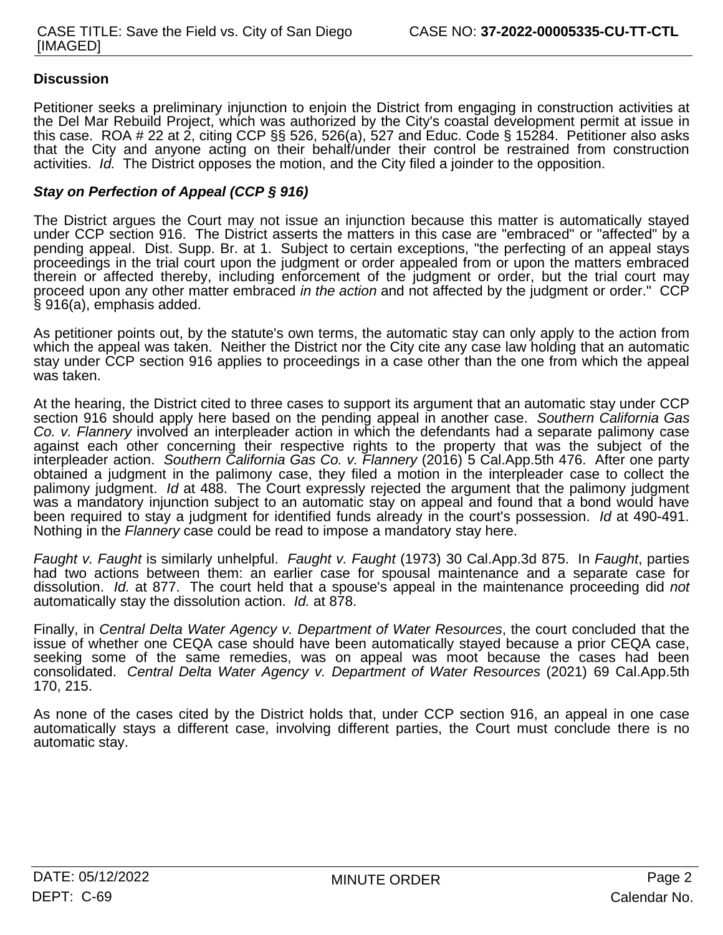# **Discussion**

Petitioner seeks a preliminary injunction to enjoin the District from engaging in construction activities at the Del Mar Rebuild Project, which was authorized by the City's coastal development permit at issue in this case. ROA # 22 at 2, citing CCP §§ 526, 526(a), 527 and Educ. Code § 15284. Petitioner also asks that the City and anyone acting on their behalf/under their control be restrained from construction activities. Id. The District opposes the motion, and the City filed a joinder to the opposition.

#### *Stay on Perfection of Appeal (CCP § 916)*

The District argues the Court may not issue an injunction because this matter is automatically stayed under CCP section 916. The District asserts the matters in this case are "embraced" or "affected" by a pending appeal. Dist. Supp. Br. at 1. Subject to certain exceptions, "the perfecting of an appeal stays proceedings in the trial court upon the judgment or order appealed from or upon the matters embraced therein or affected thereby, including enforcement of the judgment or order, but the trial court may proceed upon any other matter embraced *in the action* and not affected by the judgment or order." CCP § 916(a), emphasis added.

As petitioner points out, by the statute's own terms, the automatic stay can only apply to the action from which the appeal was taken. Neither the District nor the City cite any case law holding that an automatic stay under CCP section 916 applies to proceedings in a case other than the one from which the appeal was taken.

At the hearing, the District cited to three cases to support its argument that an automatic stay under CCP section 916 should apply here based on the pending appeal in another case. *Southern California Gas Co. v. Flannery* involved an interpleader action in which the defendants had a separate palimony case against each other concerning their respective rights to the property that was the subject of the interpleader action. *Southern California Gas Co. v. Flannery* (2016) 5 Cal.App.5th 476. After one party obtained a judgment in the palimony case, they filed a motion in the interpleader case to collect the palimony judgment. *Id* at 488. The Court expressly rejected the argument that the palimony judgment was a mandatory injunction subject to an automatic stay on appeal and found that a bond would have been required to stay a judgment for identified funds already in the court's possession. *Id* at 490-491. Nothing in the *Flannery* case could be read to impose a mandatory stay here.

*Faught v. Faught* is similarly unhelpful. *Faught v. Faught* (1973) 30 Cal.App.3d 875. In *Faught*, parties had two actions between them: an earlier case for spousal maintenance and a separate case for dissolution. *Id.* at 877. The court held that a spouse's appeal in the maintenance proceeding did *not* automatically stay the dissolution action. *Id.* at 878.

Finally, in *Central Delta Water Agency v. Department of Water Resources*, the court concluded that the issue of whether one CEQA case should have been automatically stayed because a prior CEQA case, seeking some of the same remedies, was on appeal was moot because the cases had been consolidated. *Central Delta Water Agency v. Department of Water Resources* (2021) 69 Cal.App.5th 170, 215.

As none of the cases cited by the District holds that, under CCP section 916, an appeal in one case automatically stays a different case, involving different parties, the Court must conclude there is no automatic stay.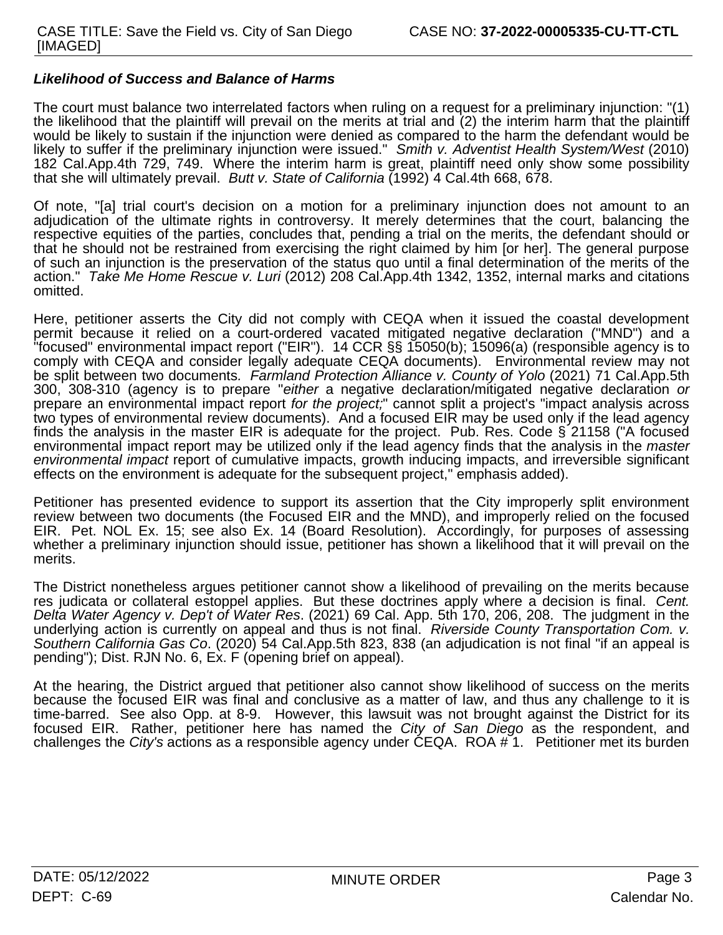#### *Likelihood of Success and Balance of Harms*

The court must balance two interrelated factors when ruling on a request for a preliminary injunction: "(1) the likelihood that the plaintiffwill prevail on the merits at trial and (2) the interim harm that the plaintiff would be likely to sustain if the injunction were denied as compared to the harm the defendant would be likely to suffer if the preliminary injunction were issued." *Smith v. Adventist Health System/West* (2010) 182 Cal.App.4th 729, 749. Where the interim harm is great, plaintiff need only show some possibility that she will ultimately prevail. *Butt v. State of California* (1992) 4 Cal.4th 668, 678.

Of note, "[a] trial court's decision on a motion for a preliminary injunction does not amount to an adjudication of the ultimate rights in controversy. It merely determines that the court, balancing the respective equities of the parties, concludes that, pending a trial on the merits, the defendant should or that he should not be restrained from exercising the right claimed by him [or her]. The general purpose of such an injunction is the preservation of the status quo until a final determination of the merits of the action." *Take Me Home Rescue v. Luri* (2012) 208 Cal.App.4th 1342, 1352, internal marks and citations omitted.

Here, petitioner asserts the City did not comply with CEQA when it issued the coastal development permit because it relied on a court-ordered vacated mitigated negative declaration ("MND") and a "focused" environmental impact report ("EIR"). 14 CCR §§ 15050(b); 15096(a) (responsible agency is to comply with CEQA and consider legally adequate CEQA documents). Environmental review may not be split between two documents*. Farmland Protection Alliance v. County of Yolo* (2021) 71 Cal.App.5th 300, 308-310 (agency is to prepare "*either* a negative declaration/mitigated negative declaration *or* prepare an environmental impact report *for the project;*" cannot split a project's "impact analysis across two types of environmental review documents). And a focused EIR may be used only if the lead agency finds the analysis in the master EIR is adequate for the project. Pub. Res. Code § 21158 ("A focused environmental impact report may be utilized only if the lead agency finds that the analysis in the *master environmental impact* report of cumulative impacts, growth inducing impacts, and irreversible significant effects on the environment is adequate for the subsequent project," emphasis added).

Petitioner has presented evidence to support its assertion that the City improperly split environment review between two documents (the Focused EIR and the MND), and improperly relied on the focused EIR. Pet. NOL Ex. 15; see also Ex. 14 (Board Resolution). Accordingly, for purposes of assessing whether a preliminary injunction should issue, petitioner has shown a likelihood that it will prevail on the merits.

The District nonetheless argues petitioner cannot show a likelihood of prevailing on the merits because res judicata or collateral estoppel applies. But these doctrines apply where a decision is final. *Cent. Delta Water Agency v. Dep't of Water Res*. (2021) 69 Cal. App. 5th 170, 206, 208. The judgment in the underlying action is currently on appeal and thus is not final. *Riverside County Transportation Com. v. Southern California Gas Co*. (2020) 54 Cal.App.5th 823, 838 (an adjudication is not final "if an appeal is pending"); Dist. RJN No. 6, Ex. F (opening brief on appeal).

At the hearing, the District argued that petitioner also cannot show likelihood of success on the merits because the focused EIR was final and conclusive as a matter of law, and thus any challenge to it is time-barred. See also Opp. at 8-9. However, this lawsuit was not brought against the District for its focused EIR. Rather, petitioner here has named the *City of San Diego* as the respondent, and challenges the *City's* actions as a responsible agency under CEQA. ROA # 1. Petitioner met its burden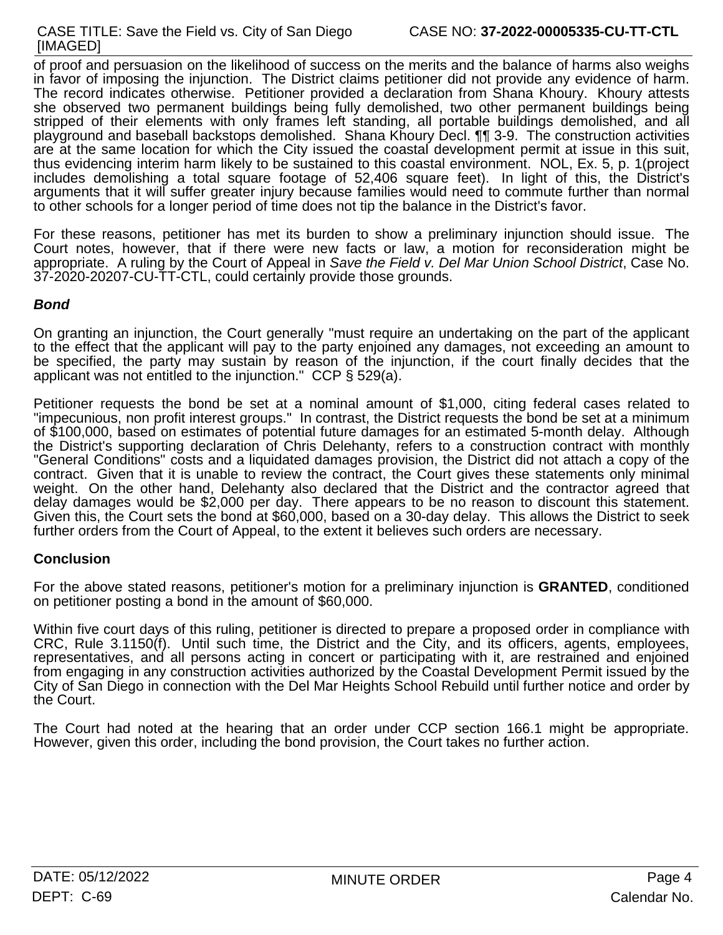of proof and persuasion on the likelihood of success on the merits and the balance of harms also weighs in favor of imposing the injunction. The District claims petitioner did not provide any evidence of harm. The record indicates otherwise. Petitioner provided a declaration from Shana Khoury. Khoury attests she observed two permanent buildings being fully demolished, two other permanent buildings being stripped of their elements with only frames left standing, all portable buildings demolished, and all playground and baseball backstops demolished. Shana Khoury Decl. ¶¶ 3-9. The construction activities are at the same location for which the City issued the coastal development permit at issue in this suit, thus evidencing interim harm likely to be sustained to this coastal environment. NOL, Ex. 5, p. 1(project includes demolishing a total square footage of 52,406 square feet). In light of this, the District's arguments that it will suffer greater injury because families would need to commute further than normal to other schools for a longer period of time does not tip the balance in the District's favor.

For these reasons, petitioner has met its burden to show a preliminary injunction should issue. The Court notes, however, that if there were new facts or law, a motion for reconsideration might be appropriate. A ruling by the Court of Appeal in *Save the Field v.Del Mar Union School District*, Case No. 37-2020-20207-CU-TT-CTL, could certainly provide those grounds.

# *Bond*

On granting an injunction, the Court generally "must require an undertaking on the part of the applicant to the effect that the applicant will pay to the party enjoined any damages, not exceeding an amount to be specified, the party may sustain by reason of the injunction, if the court finally decides that the applicant was not entitled to the injunction." CCP § 529(a).

Petitioner requests the bond be set at a nominal amount of \$1,000, citing federal cases related to "impecunious, non profit interest groups." In contrast, the District requests the bond be set at a minimum of \$100,000, based on estimates of potential future damages for an estimated 5-month delay. Although the District's supporting declaration of Chris Delehanty, refers to a construction contract with monthly "General Conditions" costs and a liquidated damages provision, the District did not attach a copy of the contract. Given that it is unable to review the contract, the Court gives these statements only minimal weight. On the other hand, Delehanty also declared that the District and the contractor agreed that delay damages would be \$2,000 per day. There appears to be no reason to discount this statement. Given this, the Court sets the bond at \$60,000, based on a 30-day delay. This allows the District to seek further orders from the Court of Appeal, to the extent it believes such orders are necessary.

## **Conclusion**

For the above stated reasons, petitioner's motion for a preliminary injunction is **GRANTED**, conditioned on petitioner posting a bond in the amount of \$60,000.

Within five court days of this ruling, petitioner is directed to prepare a proposed order in compliance with CRC, Rule 3.1150(f). Until such time, the District and the City, and its officers, agents, employees, representatives, and all persons acting in concert or participating with it, are restrained and enjoined from engaging in any construction activities authorized by the Coastal Development Permit issued by the City of San Diego in connection with the Del Mar Heights School Rebuild until further notice and order by the Court.

The Court had noted at the hearing that an order under CCP section 166.1 might be appropriate. However, given this order, including the bond provision, the Court takes no further action.